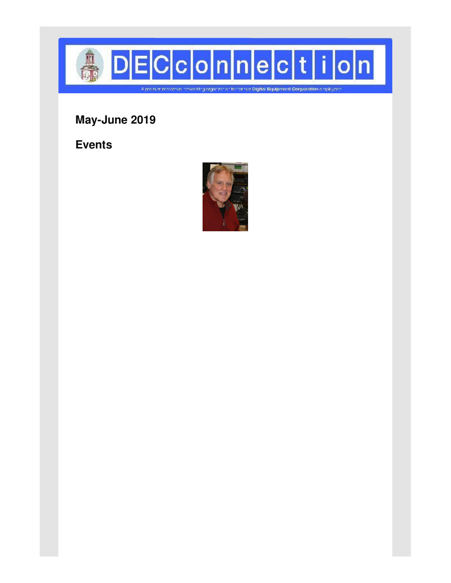

**May-June 2019**

**Events**

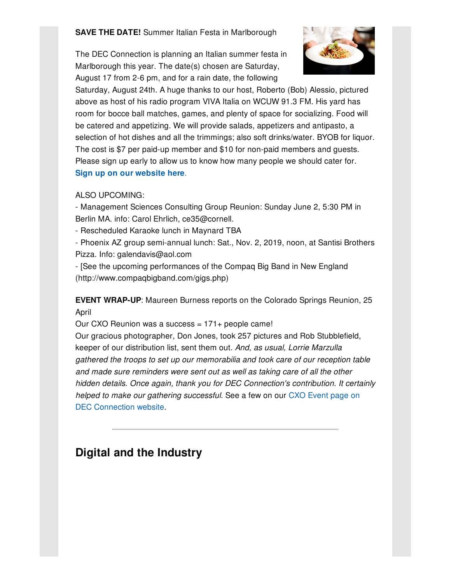**SAVE THE DATE!** Summer Italian Festa in Marlborough

The DEC Connection is planning an Italian summer festa in Marlborough this year. The date(s) chosen are Saturday, August 17 from 2-6 pm, and for a rain date, the following



Saturday, August 24th. A huge thanks to our host, Roberto (Bob) Alessio, pictured above as host of his radio program VIVA Italia on WCUW 91.3 FM. His yard has room for bocce ball matches, games, and plenty of space for socializing. Food will be catered and appetizing. We will provide salads, appetizers and antipasto, a selection of hot dishes and all the trimmings; also soft drinks/water. BYOB for liquor. The cost is \$7 per paid-up member and \$10 for non-paid members and guests. Please sign up early to allow us to know how many people we should cater for. **Sign up on our [website](http://www.decconnection.org/tickets-SummerItalianPicnic-Aug19.php) here**.

### ALSO UPCOMING:

- Management Sciences Consulting Group Reunion: Sunday June 2, 5:30 PM in Berlin MA. info: Carol Ehrlich, ce35@cornell.

- Rescheduled Karaoke lunch in Maynard TBA

- Phoenix AZ group semi-annual lunch: Sat., Nov. 2, 2019, noon, at Santisi Brothers Pizza. Info: galendavis@aol.com

- [See the upcoming performances of the Compaq Big Band in New England (http://www.compaqbigband.com/gigs.php)

**EVENT WRAP-UP**: Maureen Burness reports on the Colorado Springs Reunion, 25 April

Our CXO Reunion was a success = 171+ people came! Our gracious photographer, Don Jones, took 257 pictures and Rob Stubblefield, keeper of our distribution list, sent them out*. And, as usual, Lorrie Marzulla gathered the troops to set up our memorabilia and took care of our reception table and made sure reminders were sent out as well as taking care of all the other hidden details. Once again, thank you for DEC Connection's contribution. It certainly helped to make our gathering [successful.](http://www.decconnection.org/cxo.htm)* See a few on our CXO Event page on DEC Connection website.

# **Digital and the Industry**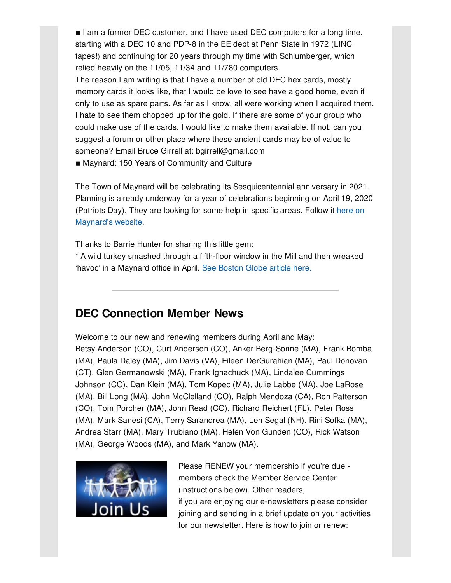■ I am a former DEC customer, and I have used DEC computers for a long time, starting with a DEC 10 and PDP-8 in the EE dept at Penn State in 1972 (LINC tapes!) and continuing for 20 years through my time with Schlumberger, which relied heavily on the 11/05, 11/34 and 11/780 computers.

The reason I am writing is that I have a number of old DEC hex cards, mostly memory cards it looks like, that I would be love to see have a good home, even if only to use as spare parts. As far as I know, all were working when I acquired them. I hate to see them chopped up for the gold. If there are some of your group who could make use of the cards, I would like to make them available. If not, can you suggest a forum or other place where these ancient cards may be of value to someone? Email Bruce Girrell at: bgirrell@gmail.com

■ Maynard: 150 Years of Community and Culture

The Town of Maynard will be celebrating its Sesquicentennial anniversary in 2021. Planning is already underway for a year of celebrations beginning on April 19, 2020 (Patriots Day). They are looking for some help in specific areas. Follow it here on [Maynard's](https://www.townofmaynard-ma.gov/gov/committees/maynard150/) website.

Thanks to Barrie Hunter for sharing this little gem:

\* A wild turkey smashed through a fifth-floor window in the Mill and then wreaked 'havoc' in a Maynard office in April. See [Boston](https://www.boston.com/news/local-news/2019/04/10/wild-turkey-maynard-office) Globe article here.

# **DEC Connection Member News**

Welcome to our new and renewing members during April and May: Betsy Anderson (CO), Curt Anderson (CO), Anker Berg-Sonne (MA), Frank Bomba (MA), Paula Daley (MA), Jim Davis (VA), Eileen DerGurahian (MA), Paul Donovan (CT), Glen Germanowski (MA), Frank Ignachuck (MA), Lindalee Cummings Johnson (CO), Dan Klein (MA), Tom Kopec (MA), Julie Labbe (MA), Joe LaRose (MA), Bill Long (MA), John McClelland (CO), Ralph Mendoza (CA), Ron Patterson (CO), Tom Porcher (MA), John Read (CO), Richard Reichert (FL), Peter Ross (MA), Mark Sanesi (CA), Terry Sarandrea (MA), Len Segal (NH), Rini Sofka (MA), Andrea Starr (MA), Mary Trubiano (MA), Helen Von Gunden (CO), Rick Watson (MA), George Woods (MA), and Mark Yanow (MA).



Please RENEW your membership if you're due members check the Member Service Center (instructions below). Other readers, if you are enjoying our e-newsletters please consider joining and sending in a brief update on your activities for our newsletter. Here is how to join or renew: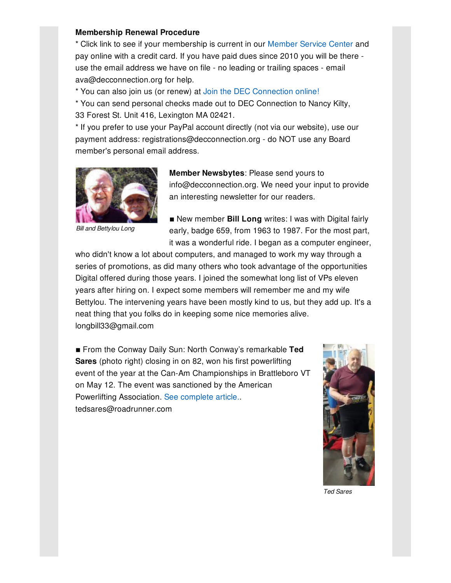#### **Membership Renewal Procedure**

\* Click link to see if your membership is current in our [Member](http://www.decconnection.org/msclogin.php) Service Center and pay online with a credit card. If you have paid dues since 2010 you will be there use the email address we have on file - no leading or trailing spaces - email ava@decconnection.org for help.

\* You can also join us (or renew) at Join the DEC [Connection](http://www.decconnection.org/join-online.htm) online!

\* You can send personal checks made out to DEC Connection to Nancy Kilty, 33 Forest St. Unit 416, Lexington MA 02421.

\* If you prefer to use your PayPal account directly (not via our website), use our payment address: registrations@decconnection.org - do NOT use any Board member's personal email address.



*Bill and Bettylou Long*

**Member Newsbytes**: Please send yours to info@decconnection.org. We need your input to provide an interesting newsletter for our readers.

**E** New member **Bill Long** writes: I was with Digital fairly early, badge 659, from 1963 to 1987. For the most part, it was a wonderful ride. I began as a computer engineer,

who didn't know a lot about computers, and managed to work my way through a series of promotions, as did many others who took advantage of the opportunities Digital offered during those years. I joined the somewhat long list of VPs eleven years after hiring on. I expect some members will remember me and my wife Bettylou. The intervening years have been mostly kind to us, but they add up. It's a neat thing that you folks do in keeping some nice memories alive. longbill33@gmail.com

■ From the Conway Daily Sun: North Conway's remarkable Ted **Sares** (photo right) closing in on 82, won his first powerlifting event of the year at the Can-Am Championships in Brattleboro VT on May 12. The event was sanctioned by the American Powerlifting Association. See [complete](http://www.decconnection.org/articles/TedSares-ConwayDailySun5_17_19.pdf) article.. tedsares@roadrunner.com



*Ted Sares*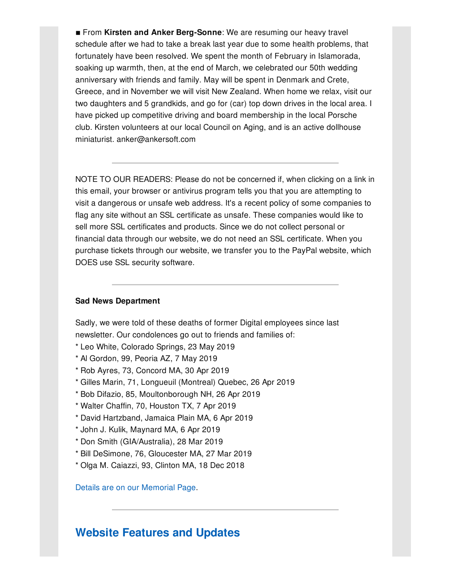■ From Kirsten and Anker Berg-Sonne: We are resuming our heavy travel schedule after we had to take a break last year due to some health problems, that fortunately have been resolved. We spent the month of February in Islamorada, soaking up warmth, then, at the end of March, we celebrated our 50th wedding anniversary with friends and family. May will be spent in Denmark and Crete, Greece, and in November we will visit New Zealand. When home we relax, visit our two daughters and 5 grandkids, and go for (car) top down drives in the local area. I have picked up competitive driving and board membership in the local Porsche club. Kirsten volunteers at our local Council on Aging, and is an active dollhouse miniaturist. anker@ankersoft.com

NOTE TO OUR READERS: Please do not be concerned if, when clicking on a link in this email, your browser or antivirus program tells you that you are attempting to visit a dangerous or unsafe web address. It's a recent policy of some companies to flag any site without an SSL certificate as unsafe. These companies would like to sell more SSL certificates and products. Since we do not collect personal or financial data through our website, we do not need an SSL certificate. When you purchase tickets through our website, we transfer you to the PayPal website, which DOES use SSL security software.

#### **Sad News Department**

Sadly, we were told of these deaths of former Digital employees since last newsletter. Our condolences go out to friends and families of:

- \* Leo White, Colorado Springs, 23 May 2019
- \* Al Gordon, 99, Peoria AZ, 7 May 2019
- \* Rob Ayres, 73, Concord MA, 30 Apr 2019
- \* Gilles Marin, 71, Longueuil (Montreal) Quebec, 26 Apr 2019
- \* Bob Difazio, 85, Moultonborough NH, 26 Apr 2019
- \* Walter Chaffin, 70, Houston TX, 7 Apr 2019
- \* David Hartzband, Jamaica Plain MA, 6 Apr 2019
- \* John J. Kulik, Maynard MA, 6 Apr 2019
- \* Don Smith (GIA/Australia), 28 Mar 2019
- \* Bill DeSimone, 76, Gloucester MA, 27 Mar 2019
- \* Olga M. Caiazzi, 93, Clinton MA, 18 Dec 2018

Details are on our [Memorial](http://www.decconnection.org/memorials.htm) Page.

## **Website [Features](http://www.decconnection.org) and Updates**